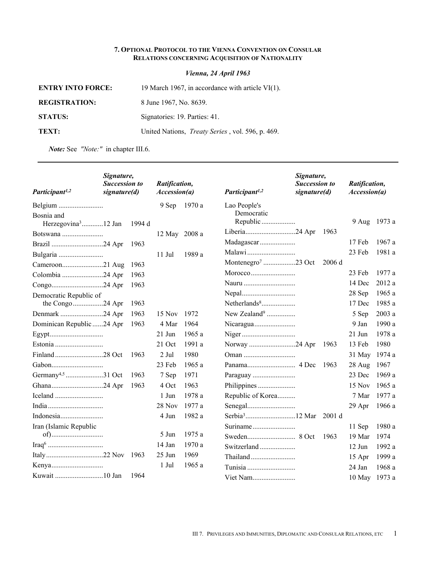## **7. OPTIONAL PROTOCOL TO THE VIENNA CONVENTION ON CONSULAR RELATIONS CONCERNING ACQUISITION OF NATIONALITY**

*Vienna, 24 April 1963*

| <b>ENTRY INTO FORCE:</b> | 19 March 1967, in accordance with article $VI(1)$ .      |
|--------------------------|----------------------------------------------------------|
| <b>REGISTRATION:</b>     | 8 June 1967, No. 8639.                                   |
| <b>STATUS:</b>           | Signatories: 19. Parties: 41.                            |
| TEXT:                    | United Nations, <i>Treaty Series</i> , vol. 596, p. 469. |

*Note:* See *"Note:"* in chapter III.6.

| Participant <sup>1,2</sup>                    | Signature,<br><b>Succession to</b><br>signature(d) |        | Ratification,<br>Accession(a) |        | Participant <sup>1,2</sup>     | Signature,<br><b>Succession to</b><br>signature(d) |        | Ratification,<br>Accession(a) |        |
|-----------------------------------------------|----------------------------------------------------|--------|-------------------------------|--------|--------------------------------|----------------------------------------------------|--------|-------------------------------|--------|
|                                               |                                                    |        | 9 Sep                         | 1970 a | Lao People's                   |                                                    |        |                               |        |
| Bosnia and<br>Herzegovina <sup>3</sup> 12 Jan |                                                    | 1994 d |                               |        | Democratic<br>Republic         |                                                    |        | 9 Aug                         | 1973 a |
| Botswana                                      |                                                    |        | 12 May 2008 a                 |        | Liberia24 Apr                  |                                                    | 1963   |                               |        |
| Brazil 24 Apr                                 |                                                    | 1963   |                               |        | Madagascar                     |                                                    |        | 17 Feb                        | 1967 a |
|                                               |                                                    |        | $11$ Jul                      | 1989 a |                                |                                                    |        | 23 Feb                        | 1981 a |
| Cameroon21 Aug                                |                                                    | 1963   |                               |        | Montenegro <sup>7</sup> 23 Oct |                                                    | 2006 d |                               |        |
| Colombia 24 Apr                               |                                                    | 1963   |                               |        | Morocco                        |                                                    |        | 23 Feb                        | 1977 a |
|                                               |                                                    | 1963   |                               |        |                                |                                                    |        | 14 Dec                        | 2012 a |
| Democratic Republic of                        |                                                    |        |                               |        |                                |                                                    |        | 28 Sep                        | 1965 a |
| the Congo24 Apr                               |                                                    | 1963   |                               |        |                                |                                                    |        | 17 Dec                        | 1985 a |
| Denmark 24 Apr                                |                                                    | 1963   | 15 Nov                        | 1972   | New Zealand <sup>9</sup>       |                                                    |        | 5 Sep                         | 2003 a |
| Dominican Republic 24 Apr                     |                                                    | 1963   | 4 Mar                         | 1964   |                                |                                                    |        | 9 Jan                         | 1990 a |
|                                               |                                                    |        | $21$ Jun                      | 1965a  |                                |                                                    |        | $21$ Jun                      | 1978 a |
|                                               |                                                    |        | 21 Oct                        | 1991 a | Norway 24 Apr                  |                                                    | 1963   | 13 Feb                        | 1980   |
|                                               |                                                    | 1963   | 2 Jul                         | 1980   |                                |                                                    |        | 31 May                        | 1974 a |
|                                               |                                                    |        | 23 Feb                        | 1965a  |                                |                                                    | 1963   | 28 Aug                        | 1967   |
| Germany <sup>4,5</sup> 31 Oct                 |                                                    | 1963   | 7 Sep                         | 1971   |                                |                                                    |        | 23 Dec                        | 1969 a |
|                                               |                                                    | 1963   | 4 Oct                         | 1963   |                                |                                                    |        | 15 Nov                        | 1965 a |
|                                               |                                                    |        | 1 Jun                         | 1978 a | Republic of Korea              |                                                    |        | 7 Mar                         | 1977 a |
|                                               |                                                    |        | 28 Nov                        | 1977 a |                                |                                                    |        | 29 Apr                        | 1966 a |
| Indonesia                                     |                                                    |        | 4 Jun                         | 1982 a |                                |                                                    |        |                               |        |
| Iran (Islamic Republic                        |                                                    |        |                               |        |                                |                                                    |        | 11 Sep                        | 1980 a |
|                                               |                                                    |        | 5 Jun                         | 1975a  |                                |                                                    | 1963   | 19 Mar                        | 1974   |
|                                               |                                                    |        | 14 Jan                        | 1970a  | Switzerland                    |                                                    |        | $12$ Jun                      | 1992 a |
|                                               |                                                    | 1963   | $25$ Jun                      | 1969   |                                |                                                    |        | 15 Apr                        | 1999 a |
|                                               |                                                    |        | 1 Jul                         | 1965a  |                                |                                                    |        | 24 Jan                        | 1968 a |
|                                               |                                                    | 1964   |                               |        | Viet Nam                       |                                                    |        | 10 May 1973 a                 |        |